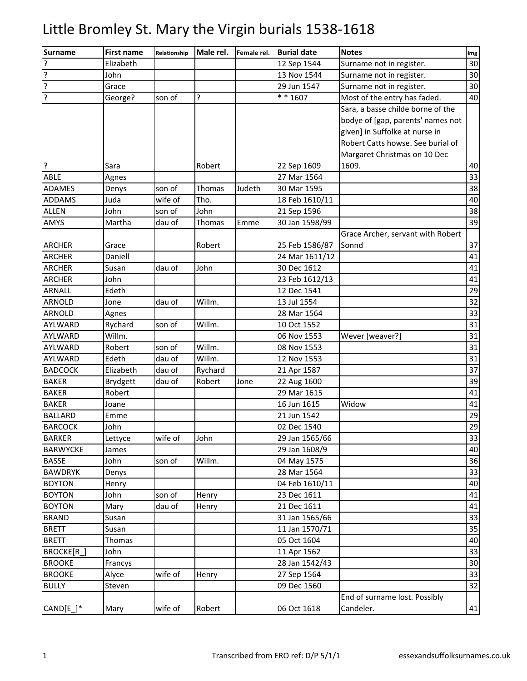| Surname         | <b>First name</b> | Relationship | Male rel. | Female rel. | <b>Burial date</b>   | <b>Notes</b>                      | Img |
|-----------------|-------------------|--------------|-----------|-------------|----------------------|-----------------------------------|-----|
| ç               | Elizabeth         |              |           |             | 12 Sep 1544          | Surname not in register.          | 30  |
| ?               | John              |              |           |             | 13 Nov 1544          | Surname not in register.          | 30  |
| ?               | Grace             |              |           |             | 29 Jun 1547          | Surname not in register.          | 30  |
| ŗ               | George?           | son of       | ?         |             | $\frac{1}{*}$ * 1607 | Most of the entry has faded.      | 40  |
|                 |                   |              |           |             |                      | Sara, a basse childe borne of the |     |
|                 |                   |              |           |             |                      | bodye of [gap, parents' names not |     |
|                 |                   |              |           |             |                      | given] in Suffolke at nurse in    |     |
|                 |                   |              |           |             |                      | Robert Catts howse. See burial of |     |
|                 |                   |              |           |             |                      | Margaret Christmas on 10 Dec      |     |
| l.              | Sara              |              | Robert    |             | 22 Sep 1609          | 1609.                             | 40  |
| <b>ABLE</b>     | Agnes             |              |           |             | 27 Mar 1564          |                                   | 33  |
| <b>ADAMES</b>   | Denys             | son of       | Thomas    | Judeth      | 30 Mar 1595          |                                   | 38  |
| <b>ADDAMS</b>   | Juda              | wife of      | Tho.      |             | 18 Feb 1610/11       |                                   | 40  |
| <b>ALLEN</b>    | John              | son of       | John      |             | 21 Sep 1596          |                                   | 38  |
| <b>AMYS</b>     | Martha            | dau of       | Thomas    | Emme        | 30 Jan 1598/99       |                                   | 39  |
|                 |                   |              |           |             |                      | Grace Archer, servant with Robert |     |
| <b>ARCHER</b>   | Grace             |              | Robert    |             | 25 Feb 1586/87       | Sonnd                             | 37  |
| <b>ARCHER</b>   | Daniell           |              |           |             | 24 Mar 1611/12       |                                   | 41  |
| <b>ARCHER</b>   | Susan             | dau of       | John      |             | 30 Dec 1612          |                                   | 41  |
| <b>ARCHER</b>   | John              |              |           |             | 23 Feb 1612/13       |                                   | 41  |
| <b>ARNALL</b>   | Edeth             |              |           |             | 12 Dec 1541          |                                   | 29  |
| <b>ARNOLD</b>   | Jone              | dau of       | Willm.    |             | 13 Jul 1554          |                                   | 32  |
| <b>ARNOLD</b>   | Agnes             |              |           |             | 28 Mar 1564          |                                   | 33  |
| AYLWARD         | Rychard           | son of       | Willm.    |             | 10 Oct 1552          |                                   | 31  |
| AYLWARD         | Willm.            |              |           |             | 06 Nov 1553          | Wever [weaver?]                   | 31  |
| AYLWARD         | Robert            | son of       | Willm.    |             | 08 Nov 1553          |                                   | 31  |
| <b>AYLWARD</b>  | Edeth             | dau of       | Willm.    |             | 12 Nov 1553          |                                   | 31  |
| <b>BADCOCK</b>  | Elizabeth         | dau of       | Rychard   |             | 21 Apr 1587          |                                   | 37  |
| <b>BAKER</b>    | <b>Brydgett</b>   | dau of       | Robert    | Jone        | 22 Aug 1600          |                                   | 39  |
| <b>BAKER</b>    | Robert            |              |           |             | 29 Mar 1615          |                                   | 41  |
| <b>BAKER</b>    | Joane             |              |           |             | 16 Jun 1615          | Widow                             | 41  |
| <b>BALLARD</b>  | Emme              |              |           |             | 21 Jun 1542          |                                   | 29  |
| <b>BARCOCK</b>  | John              |              |           |             | 02 Dec 1540          |                                   | 29  |
| <b>BARKER</b>   | Lettyce           | wife of      | John      |             | 29 Jan 1565/66       |                                   | 33  |
| <b>BARWYCKE</b> | James             |              |           |             | 29 Jan 1608/9        |                                   | 40  |
| <b>BASSE</b>    | John              | son of       | Willm.    |             | 04 May 1575          |                                   | 36  |
| <b>BAWDRYK</b>  | Denys             |              |           |             | 28 Mar 1564          |                                   | 33  |
| <b>BOYTON</b>   | Henry             |              |           |             | 04 Feb 1610/11       |                                   | 40  |
| <b>BOYTON</b>   | John              | son of       | Henry     |             | 23 Dec 1611          |                                   | 41  |
| <b>BOYTON</b>   | Mary              | dau of       | Henry     |             | 21 Dec 1611          |                                   | 41  |
| <b>BRAND</b>    | Susan             |              |           |             | 31 Jan 1565/66       |                                   | 33  |
| <b>BRETT</b>    | Susan             |              |           |             | 11 Jan 1570/71       |                                   | 35  |
| <b>BRETT</b>    | Thomas            |              |           |             | 05 Oct 1604          |                                   | 40  |
| BROCKE[R_]      | John              |              |           |             | 11 Apr 1562          |                                   | 33  |
| <b>BROOKE</b>   | Francys           |              |           |             | 28 Jan 1542/43       |                                   | 30  |
| <b>BROOKE</b>   | Alyce             | wife of      | Henry     |             | 27 Sep 1564          |                                   | 33  |
| <b>BULLY</b>    | Steven            |              |           |             | 09 Dec 1560          |                                   | 32  |
|                 |                   |              |           |             |                      | End of surname lost. Possibly     |     |
| CAND[E_]*       | Mary              | wife of      | Robert    |             | 06 Oct 1618          | Candeler.                         | 41  |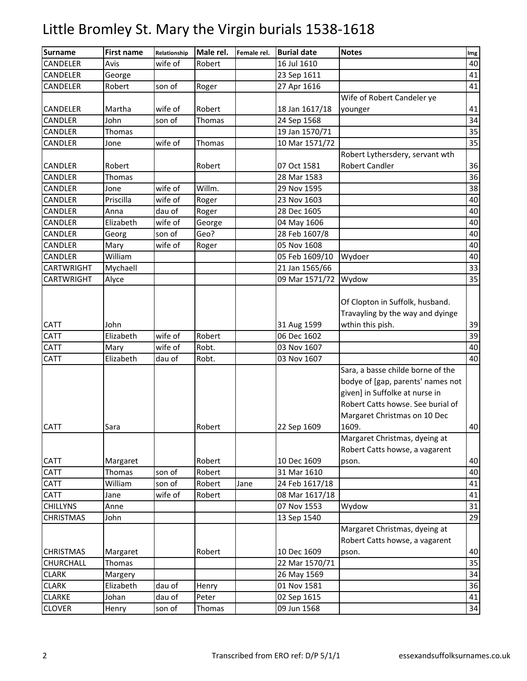| <b>Surname</b>             | <b>First name</b> | Relationship       | Male rel.       | Female rel. | <b>Burial date</b>         | <b>Notes</b>                                                                                                                                                                  | Img      |
|----------------------------|-------------------|--------------------|-----------------|-------------|----------------------------|-------------------------------------------------------------------------------------------------------------------------------------------------------------------------------|----------|
| CANDELER                   | Avis              | wife of            | Robert          |             | 16 Jul 1610                |                                                                                                                                                                               | 40       |
| CANDELER                   | George            |                    |                 |             | 23 Sep 1611                |                                                                                                                                                                               | 41       |
| CANDELER                   | Robert            | son of             | Roger           |             | 27 Apr 1616                |                                                                                                                                                                               | 41       |
|                            |                   |                    |                 |             |                            | Wife of Robert Candeler ye                                                                                                                                                    |          |
| <b>CANDELER</b>            | Martha            | wife of            | Robert          |             | 18 Jan 1617/18             | younger                                                                                                                                                                       | 41       |
| CANDLER                    | John              | son of             | Thomas          |             | 24 Sep 1568                |                                                                                                                                                                               | 34       |
| CANDLER                    | Thomas            |                    |                 |             | 19 Jan 1570/71             |                                                                                                                                                                               | 35       |
| CANDLER                    | Jone              | wife of            | Thomas          |             | 10 Mar 1571/72             |                                                                                                                                                                               | 35       |
|                            |                   |                    |                 |             |                            | Robert Lythersdery, servant wth                                                                                                                                               |          |
| <b>CANDLER</b>             | Robert            |                    | Robert          |             | 07 Oct 1581                | <b>Robert Candler</b>                                                                                                                                                         | 36       |
| CANDLER                    | Thomas            |                    |                 |             | 28 Mar 1583                |                                                                                                                                                                               | 36       |
| CANDLER                    | Jone              | wife of            | Willm.          |             | 29 Nov 1595                |                                                                                                                                                                               | 38       |
| CANDLER                    | Priscilla         | wife of            | Roger           |             | 23 Nov 1603                |                                                                                                                                                                               | 40       |
| CANDLER                    | Anna              | dau of             | Roger           |             | 28 Dec 1605                |                                                                                                                                                                               | 40       |
| CANDLER                    | Elizabeth         | wife of            | George          |             | 04 May 1606                |                                                                                                                                                                               | 40       |
| CANDLER                    | Georg             | son of             | Geo?            |             | 28 Feb 1607/8              |                                                                                                                                                                               | 40       |
| CANDLER                    | Mary              | wife of            | Roger           |             | 05 Nov 1608                |                                                                                                                                                                               | 40       |
| CANDLER                    | William           |                    |                 |             | 05 Feb 1609/10             | Wydoer                                                                                                                                                                        | 40       |
| <b>CARTWRIGHT</b>          | Mychaell          |                    |                 |             | 21 Jan 1565/66             |                                                                                                                                                                               | 33       |
| <b>CARTWRIGHT</b>          | Alyce             |                    |                 |             | 09 Mar 1571/72             | Wydow                                                                                                                                                                         | 35       |
|                            | John              |                    |                 |             |                            | Of Clopton in Suffolk, husband.<br>Travayling by the way and dyinge                                                                                                           |          |
| <b>CATT</b>                |                   |                    |                 |             | 31 Aug 1599                | wthin this pish.                                                                                                                                                              | 39<br>39 |
| <b>CATT</b><br><b>CATT</b> | Elizabeth         | wife of<br>wife of | Robert<br>Robt. |             | 06 Dec 1602<br>03 Nov 1607 |                                                                                                                                                                               | 40       |
| <b>CATT</b>                | Mary<br>Elizabeth | dau of             | Robt.           |             | 03 Nov 1607                |                                                                                                                                                                               | 40       |
|                            |                   |                    |                 |             |                            | Sara, a basse childe borne of the<br>bodye of [gap, parents' names not<br>given] in Suffolke at nurse in<br>Robert Catts howse. See burial of<br>Margaret Christmas on 10 Dec |          |
| <b>CATT</b>                | Sara              |                    | Robert          |             | 22 Sep 1609                | 1609.                                                                                                                                                                         | 40       |
| <b>CATT</b>                | Margaret          |                    | Robert          |             | 10 Dec 1609                | Margaret Christmas, dyeing at<br>Robert Catts howse, a vagarent<br>pson.                                                                                                      | 40       |
| <b>CATT</b>                | Thomas            | son of             | Robert          |             | 31 Mar 1610                |                                                                                                                                                                               | 40       |
| CATT                       | William           | son of             | Robert          | Jane        | 24 Feb 1617/18             |                                                                                                                                                                               | 41       |
| <b>CATT</b>                | Jane              | wife of            | Robert          |             | 08 Mar 1617/18             |                                                                                                                                                                               | 41       |
| <b>CHILLYNS</b>            | Anne              |                    |                 |             | 07 Nov 1553                | Wydow                                                                                                                                                                         | 31       |
| <b>CHRISTMAS</b>           | John              |                    |                 |             | 13 Sep 1540                |                                                                                                                                                                               | 29       |
| <b>CHRISTMAS</b>           | Margaret          |                    | Robert          |             | 10 Dec 1609                | Margaret Christmas, dyeing at<br>Robert Catts howse, a vagarent<br>pson.                                                                                                      | 40       |
| CHURCHALL                  | Thomas            |                    |                 |             | 22 Mar 1570/71             |                                                                                                                                                                               | 35       |
| <b>CLARK</b>               | Margery           |                    |                 |             | 26 May 1569                |                                                                                                                                                                               | 34       |
| <b>CLARK</b>               | Elizabeth         | dau of             | Henry           |             | 01 Nov 1581                |                                                                                                                                                                               | 36       |
| <b>CLARKE</b>              | Johan             | dau of             | Peter           |             | 02 Sep 1615                |                                                                                                                                                                               | 41       |
| <b>CLOVER</b>              | Henry             | son of             | Thomas          |             | 09 Jun 1568                |                                                                                                                                                                               | 34       |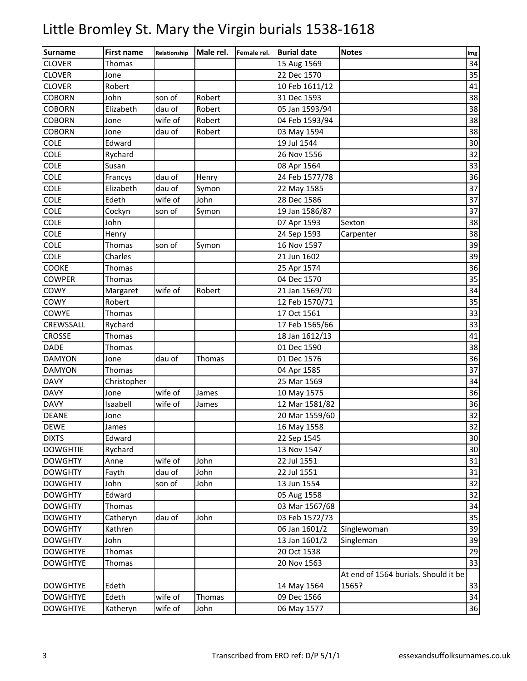| <b>Surname</b>  | <b>First name</b> | Relationship | Male rel. | Female rel. | <b>Burial date</b> | <b>Notes</b>                         | Img    |
|-----------------|-------------------|--------------|-----------|-------------|--------------------|--------------------------------------|--------|
| <b>CLOVER</b>   | Thomas            |              |           |             | 15 Aug 1569        |                                      | 34     |
| <b>CLOVER</b>   | Jone              |              |           |             | 22 Dec 1570        |                                      | 35     |
| <b>CLOVER</b>   | Robert            |              |           |             | 10 Feb 1611/12     |                                      | 41     |
| <b>COBORN</b>   | John              | son of       | Robert    |             | 31 Dec 1593        |                                      | 38     |
| <b>COBORN</b>   | Elizabeth         | dau of       | Robert    |             | 05 Jan 1593/94     |                                      | 38     |
| <b>COBORN</b>   | Jone              | wife of      | Robert    |             | 04 Feb 1593/94     |                                      | 38     |
| <b>COBORN</b>   | Jone              | dau of       | Robert    |             | 03 May 1594        |                                      | 38     |
| <b>COLE</b>     | Edward            |              |           |             | 19 Jul 1544        |                                      | 30     |
| <b>COLE</b>     | Rychard           |              |           |             | 26 Nov 1556        |                                      | 32     |
| <b>COLE</b>     | Susan             |              |           |             | 08 Apr 1564        |                                      | 33     |
| <b>COLE</b>     | Francys           | dau of       | Henry     |             | 24 Feb 1577/78     |                                      | 36     |
| <b>COLE</b>     | Elizabeth         | dau of       | Symon     |             | 22 May 1585        |                                      | 37     |
| <b>COLE</b>     | Edeth             | wife of      | John      |             | 28 Dec 1586        |                                      | 37     |
| <b>COLE</b>     | Cockyn            | son of       | Symon     |             | 19 Jan 1586/87     |                                      | 37     |
| <b>COLE</b>     | John              |              |           |             | 07 Apr 1593        | Sexton                               | 38     |
| <b>COLE</b>     | Henry             |              |           |             | 24 Sep 1593        | Carpenter                            | 38     |
| <b>COLE</b>     | Thomas            | son of       | Symon     |             | 16 Nov 1597        |                                      | 39     |
| <b>COLE</b>     | Charles           |              |           |             | 21 Jun 1602        |                                      | 39     |
| COOKE           | Thomas            |              |           |             | 25 Apr 1574        |                                      | 36     |
| <b>COWPER</b>   | Thomas            |              |           |             | 04 Dec 1570        |                                      | 35     |
| COWY            | Margaret          | wife of      | Robert    |             | 21 Jan 1569/70     |                                      | 34     |
| COWY            | Robert            |              |           |             | 12 Feb 1570/71     |                                      | 35     |
| COWYE           | Thomas            |              |           |             | 17 Oct 1561        |                                      | 33     |
| CREWSSALL       | Rychard           |              |           |             | 17 Feb 1565/66     |                                      | 33     |
| <b>CROSSE</b>   | Thomas            |              |           |             | 18 Jan 1612/13     |                                      | 41     |
| <b>DADE</b>     | Thomas            |              |           |             | 01 Dec 1590        |                                      | 38     |
| <b>DAMYON</b>   | Jone              | dau of       | Thomas    |             | 01 Dec 1576        |                                      | 36     |
| <b>DAMYON</b>   | Thomas            |              |           |             | 04 Apr 1585        |                                      | 37     |
| <b>DAVY</b>     | Christopher       |              |           |             | 25 Mar 1569        |                                      | 34     |
| <b>DAVY</b>     | Jone              | wife of      | James     |             | 10 May 1575        |                                      | 36     |
| <b>DAVY</b>     | Isaabell          | wife of      | James     |             | 12 Mar 1581/82     |                                      | 36     |
| <b>DEANE</b>    | Jone              |              |           |             | 20 Mar 1559/60     |                                      | 32     |
| <b>DEWE</b>     | James             |              |           |             | 16 May 1558        |                                      | 32     |
| <b>DIXTS</b>    | Edward            |              |           |             | 22 Sep 1545        |                                      | $30\,$ |
| <b>DOWGHTIE</b> | Rychard           |              |           |             | 13 Nov 1547        |                                      | 30     |
| <b>DOWGHTY</b>  | Anne              | wife of      | John      |             | 22 Jul 1551        |                                      | 31     |
| <b>DOWGHTY</b>  | Fayth             | dau of       | John      |             | 22 Jul 1551        |                                      | 31     |
| <b>DOWGHTY</b>  | John              | son of       | John      |             | 13 Jun 1554        |                                      | 32     |
| <b>DOWGHTY</b>  | Edward            |              |           |             | 05 Aug 1558        |                                      | 32     |
| <b>DOWGHTY</b>  | Thomas            |              |           |             | 03 Mar 1567/68     |                                      | 34     |
| <b>DOWGHTY</b>  | Catheryn          | dau of       | John      |             | 03 Feb 1572/73     |                                      | 35     |
| <b>DOWGHTY</b>  | Kathren           |              |           |             | 06 Jan 1601/2      | Singlewoman                          | 39     |
| <b>DOWGHTY</b>  | John              |              |           |             | 13 Jan 1601/2      | Singleman                            | 39     |
| <b>DOWGHTYE</b> | Thomas            |              |           |             | 20 Oct 1538        |                                      | 29     |
| <b>DOWGHTYE</b> | Thomas            |              |           |             | 20 Nov 1563        |                                      | 33     |
|                 |                   |              |           |             |                    | At end of 1564 burials. Should it be |        |
| <b>DOWGHTYE</b> | Edeth             |              |           |             | 14 May 1564        | 1565?                                | 33     |
| <b>DOWGHTYE</b> | Edeth             | wife of      | Thomas    |             | 09 Dec 1566        |                                      | 34     |
| <b>DOWGHTYE</b> | Katheryn          | wife of      | John      |             | 06 May 1577        |                                      | 36     |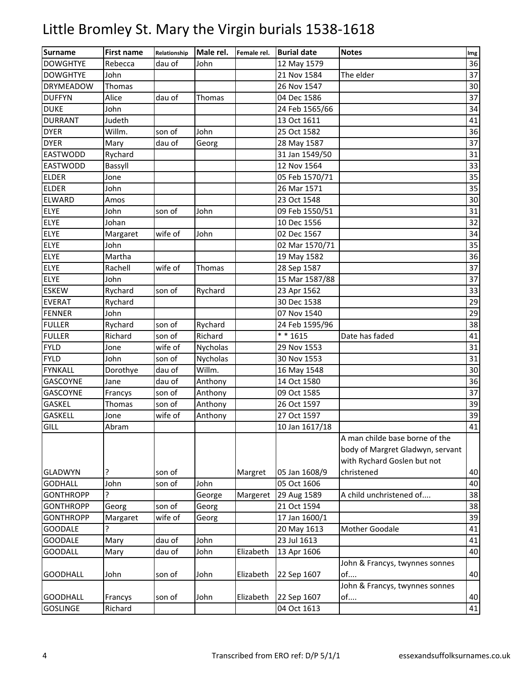| <b>Surname</b>   | <b>First name</b> | Relationship | Male rel. | Female rel. | <b>Burial date</b> | <b>Notes</b>                     | Img |
|------------------|-------------------|--------------|-----------|-------------|--------------------|----------------------------------|-----|
| <b>DOWGHTYE</b>  | Rebecca           | dau of       | John      |             | 12 May 1579        |                                  | 36  |
| <b>DOWGHTYE</b>  | John              |              |           |             | 21 Nov 1584        | The elder                        | 37  |
| <b>DRYMEADOW</b> | Thomas            |              |           |             | 26 Nov 1547        |                                  | 30  |
| <b>DUFFYN</b>    | Alice             | dau of       | Thomas    |             | 04 Dec 1586        |                                  | 37  |
| <b>DUKE</b>      | John              |              |           |             | 24 Feb 1565/66     |                                  | 34  |
| <b>DURRANT</b>   | Judeth            |              |           |             | 13 Oct 1611        |                                  | 41  |
| <b>DYER</b>      | Willm.            | son of       | John      |             | 25 Oct 1582        |                                  | 36  |
| <b>DYER</b>      | Mary              | dau of       | Georg     |             | 28 May 1587        |                                  | 37  |
| EASTWODD         | Rychard           |              |           |             | 31 Jan 1549/50     |                                  | 31  |
| <b>EASTWODD</b>  | Bassyll           |              |           |             | 12 Nov 1564        |                                  | 33  |
| <b>ELDER</b>     | Jone              |              |           |             | 05 Feb 1570/71     |                                  | 35  |
| <b>ELDER</b>     | John              |              |           |             | 26 Mar 1571        |                                  | 35  |
| <b>ELWARD</b>    | Amos              |              |           |             | 23 Oct 1548        |                                  | 30  |
| <b>ELYE</b>      | John              | son of       | John      |             | 09 Feb 1550/51     |                                  | 31  |
| <b>ELYE</b>      | Johan             |              |           |             | 10 Dec 1556        |                                  | 32  |
| <b>ELYE</b>      | Margaret          | wife of      | John      |             | 02 Dec 1567        |                                  | 34  |
| <b>ELYE</b>      | John              |              |           |             | 02 Mar 1570/71     |                                  | 35  |
| ELYE             | Martha            |              |           |             | 19 May 1582        |                                  | 36  |
| <b>ELYE</b>      | Rachell           | wife of      | Thomas    |             | 28 Sep 1587        |                                  | 37  |
| <b>ELYE</b>      | John              |              |           |             | 15 Mar 1587/88     |                                  | 37  |
| <b>ESKEW</b>     | Rychard           | son of       | Rychard   |             | 23 Apr 1562        |                                  | 33  |
| <b>EVERAT</b>    | Rychard           |              |           |             | 30 Dec 1538        |                                  | 29  |
| <b>FENNER</b>    | John              |              |           |             | 07 Nov 1540        |                                  | 29  |
| <b>FULLER</b>    | Rychard           | son of       | Rychard   |             | 24 Feb 1595/96     |                                  | 38  |
| <b>FULLER</b>    | Richard           | son of       | Richard   |             | ** 1615            | Date has faded                   | 41  |
| <b>FYLD</b>      | Jone              | wife of      | Nycholas  |             | 29 Nov 1553        |                                  | 31  |
| <b>FYLD</b>      | John              | son of       | Nycholas  |             | 30 Nov 1553        |                                  | 31  |
| <b>FYNKALL</b>   | Dorothye          | dau of       | Willm.    |             | 16 May 1548        |                                  | 30  |
| GASCOYNE         | Jane              | dau of       | Anthony   |             | 14 Oct 1580        |                                  | 36  |
| GASCOYNE         | Francys           | son of       | Anthony   |             | 09 Oct 1585        |                                  | 37  |
| GASKEL           | Thomas            | son of       | Anthony   |             | 26 Oct 1597        |                                  | 39  |
| <b>GASKELL</b>   | Jone              | wife of      | Anthony   |             | 27 Oct 1597        |                                  | 39  |
| GILL             | Abram             |              |           |             | 10 Jan 1617/18     |                                  | 41  |
|                  |                   |              |           |             |                    | A man childe base borne of the   |     |
|                  |                   |              |           |             |                    | body of Margret Gladwyn, servant |     |
|                  |                   |              |           |             |                    | with Rychard Goslen but not      |     |
| <b>GLADWYN</b>   | 7                 | son of       |           | Margret     | 05 Jan 1608/9      | christened                       | 40  |
| <b>GODHALL</b>   | John              | son of       | John      |             | 05 Oct 1606        |                                  | 40  |
| <b>GONTHROPP</b> | 5.                |              | George    | Margeret    | 29 Aug 1589        | A child unchristened of          | 38  |
| <b>GONTHROPP</b> | Georg             | son of       | Georg     |             | 21 Oct 1594        |                                  | 38  |
| <b>GONTHROPP</b> | Margaret          | wife of      | Georg     |             | 17 Jan 1600/1      |                                  | 39  |
| <b>GOODALE</b>   | C                 |              |           |             | 20 May 1613        | Mother Goodale                   | 41  |
| <b>GOODALE</b>   | Mary              | dau of       | John      |             | 23 Jul 1613        |                                  | 41  |
| <b>GOODALL</b>   | Mary              | dau of       | John      | Elizabeth   | 13 Apr 1606        |                                  | 40  |
|                  |                   |              |           |             |                    | John & Francys, twynnes sonnes   |     |
| <b>GOODHALL</b>  | John              | son of       | John      | Elizabeth   | 22 Sep 1607        | of                               | 40  |
|                  |                   |              |           |             |                    | John & Francys, twynnes sonnes   |     |
| <b>GOODHALL</b>  | Francys           | son of       | John      | Elizabeth   | 22 Sep 1607        | of                               | 40  |
| <b>GOSLINGE</b>  | Richard           |              |           |             | 04 Oct 1613        |                                  | 41  |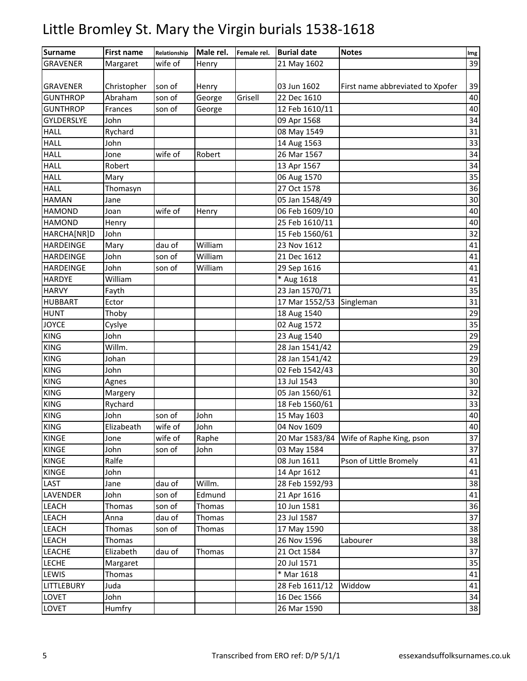| <b>Surname</b>    | <b>First name</b> | Relationship | Male rel. | Female rel. | <b>Burial date</b> | <b>Notes</b>                     | Img    |
|-------------------|-------------------|--------------|-----------|-------------|--------------------|----------------------------------|--------|
| <b>GRAVENER</b>   | Margaret          | wife of      | Henry     |             | 21 May 1602        |                                  | 39     |
|                   |                   |              |           |             |                    |                                  |        |
| <b>GRAVENER</b>   | Christopher       | son of       | Henry     |             | 03 Jun 1602        | First name abbreviated to Xpofer | 39     |
| <b>GUNTHROP</b>   | Abraham           | son of       | George    | Grisell     | 22 Dec 1610        |                                  | $40\,$ |
| <b>GUNTHROP</b>   | Frances           | son of       | George    |             | 12 Feb 1610/11     |                                  | 40     |
| <b>GYLDERSLYE</b> | John              |              |           |             | 09 Apr 1568        |                                  | 34     |
| <b>HALL</b>       | Rychard           |              |           |             | 08 May 1549        |                                  | 31     |
| <b>HALL</b>       | John              |              |           |             | 14 Aug 1563        |                                  | 33     |
| <b>HALL</b>       | Jone              | wife of      | Robert    |             | 26 Mar 1567        |                                  | 34     |
| <b>HALL</b>       | Robert            |              |           |             | 13 Apr 1567        |                                  | 34     |
| <b>HALL</b>       | Mary              |              |           |             | 06 Aug 1570        |                                  | 35     |
| <b>HALL</b>       | Thomasyn          |              |           |             | 27 Oct 1578        |                                  | 36     |
| <b>HAMAN</b>      | Jane              |              |           |             | 05 Jan 1548/49     |                                  | 30     |
| <b>HAMOND</b>     | Joan              | wife of      | Henry     |             | 06 Feb 1609/10     |                                  | 40     |
| <b>HAMOND</b>     | Henry             |              |           |             | 25 Feb 1610/11     |                                  | 40     |
| HARCHA[NR]D       | John              |              |           |             | 15 Feb 1560/61     |                                  | 32     |
| <b>HARDEINGE</b>  | Mary              | dau of       | William   |             | 23 Nov 1612        |                                  | 41     |
| <b>HARDEINGE</b>  | John              | son of       | William   |             | 21 Dec 1612        |                                  | 41     |
| <b>HARDEINGE</b>  | John              | son of       | William   |             | 29 Sep 1616        |                                  | 41     |
| <b>HARDYE</b>     | William           |              |           |             | * Aug 1618         |                                  | 41     |
| <b>HARVY</b>      | Fayth             |              |           |             | 23 Jan 1570/71     |                                  | 35     |
| <b>HUBBART</b>    | Ector             |              |           |             | 17 Mar 1552/53     | Singleman                        | 31     |
| <b>HUNT</b>       | Thoby             |              |           |             | 18 Aug 1540        |                                  | 29     |
| <b>JOYCE</b>      | Cyslye            |              |           |             | 02 Aug 1572        |                                  | 35     |
| <b>KING</b>       | John              |              |           |             | 23 Aug 1540        |                                  | 29     |
| <b>KING</b>       | Willm.            |              |           |             | 28 Jan 1541/42     |                                  | 29     |
| <b>KING</b>       | Johan             |              |           |             | 28 Jan 1541/42     |                                  | 29     |
| <b>KING</b>       | John              |              |           |             | 02 Feb 1542/43     |                                  | 30     |
| <b>KING</b>       | Agnes             |              |           |             | 13 Jul 1543        |                                  | 30     |
| <b>KING</b>       | Margery           |              |           |             | 05 Jan 1560/61     |                                  | 32     |
| <b>KING</b>       | Rychard           |              |           |             | 18 Feb 1560/61     |                                  | 33     |
| <b>KING</b>       | John              | son of       | John      |             | 15 May 1603        |                                  | 40     |
| <b>KING</b>       | Elizabeath        | wife of      | John      |             | 04 Nov 1609        |                                  | 40     |
| <b>KINGE</b>      | Jone              | wife of      | Raphe     |             | 20 Mar 1583/84     | Wife of Raphe King, pson         | 37     |
| <b>KINGE</b>      | John              | son of       | John      |             | 03 May 1584        |                                  | 37     |
| <b>KINGE</b>      | Ralfe             |              |           |             | 08 Jun 1611        | Pson of Little Bromely           | 41     |
| <b>KINGE</b>      | John              |              |           |             | 14 Apr 1612        |                                  | 41     |
| LAST              | Jane              | dau of       | Willm.    |             | 28 Feb 1592/93     |                                  | 38     |
| LAVENDER          | John              | son of       | Edmund    |             | 21 Apr 1616        |                                  | 41     |
| LEACH             | <b>Thomas</b>     | son of       | Thomas    |             | 10 Jun 1581        |                                  | 36     |
| <b>LEACH</b>      | Anna              | dau of       | Thomas    |             | 23 Jul 1587        |                                  | 37     |
| LEACH             | Thomas            | son of       | Thomas    |             | 17 May 1590        |                                  | 38     |
| <b>LEACH</b>      | Thomas            |              |           |             | 26 Nov 1596        | Labourer                         | 38     |
| LEACHE            | Elizabeth         | dau of       | Thomas    |             | 21 Oct 1584        |                                  | 37     |
| <b>LECHE</b>      | Margaret          |              |           |             | 20 Jul 1571        |                                  | 35     |
| LEWIS             | <b>Thomas</b>     |              |           |             | * Mar 1618         |                                  | 41     |
| <b>LITTLEBURY</b> | Juda              |              |           |             | 28 Feb 1611/12     | Widdow                           | 41     |
| LOVET             | John              |              |           |             | 16 Dec 1566        |                                  | 34     |
| LOVET             | Humfry            |              |           |             | 26 Mar 1590        |                                  | 38     |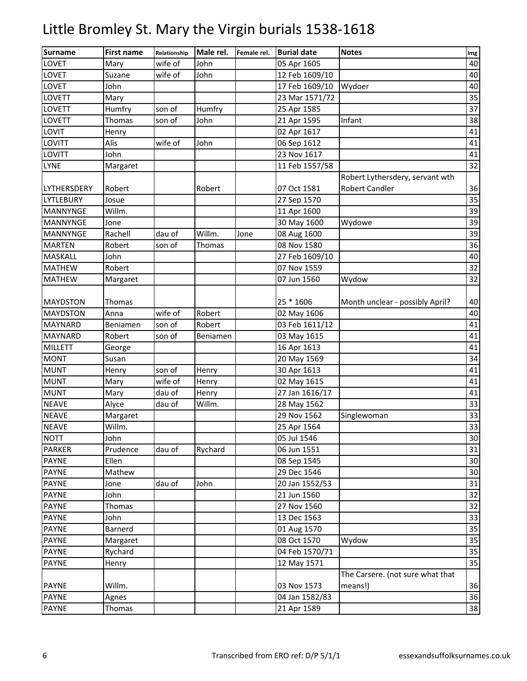| <b>Surname</b>  | <b>First name</b> | Relationship | Male rel. | Female rel. | <b>Burial date</b> | <b>Notes</b>                     | Img |
|-----------------|-------------------|--------------|-----------|-------------|--------------------|----------------------------------|-----|
| LOVET           | Mary              | wife of      | John      |             | 05 Apr 1605        |                                  | 40  |
| LOVET           | Suzane            | wife of      | John      |             | 12 Feb 1609/10     |                                  | 40  |
| LOVET           | John              |              |           |             | 17 Feb 1609/10     | Wydoer                           | 40  |
| LOVETT          | Mary              |              |           |             | 23 Mar 1571/72     |                                  | 35  |
| LOVETT          | Humfry            | son of       | Humfry    |             | 25 Apr 1585        |                                  | 37  |
| LOVETT          | Thomas            | son of       | John      |             | 21 Apr 1595        | Infant                           | 38  |
| LOVIT           | Henry             |              |           |             | 02 Apr 1617        |                                  | 41  |
| LOVITT          | Alis              | wife of      | John      |             | 06 Sep 1612        |                                  | 41  |
| LOVITT          | John              |              |           |             | 23 Nov 1617        |                                  | 41  |
| <b>LYNE</b>     | Margaret          |              |           |             | 11 Feb 1557/58     |                                  | 32  |
|                 |                   |              |           |             |                    | Robert Lythersdery, servant wth  |     |
| LYTHERSDERY     | Robert            |              | Robert    |             | 07 Oct 1581        | <b>Robert Candler</b>            | 36  |
| LYTLEBURY       | Josue             |              |           |             | 27 Sep 1570        |                                  | 35  |
| MANNYNGE        | Willm.            |              |           |             | 11 Apr 1600        |                                  | 39  |
| <b>MANNYNGE</b> | Jone              |              |           |             | 30 May 1600        | Wydowe                           | 39  |
| <b>MANNYNGE</b> | Rachell           | dau of       | Willm.    | Jone        | 08 Aug 1600        |                                  | 39  |
| <b>MARTEN</b>   | Robert            | son of       | Thomas    |             | 08 Nov 1580        |                                  | 36  |
| MASKALL         | John              |              |           |             | 27 Feb 1609/10     |                                  | 40  |
| <b>MATHEW</b>   | Robert            |              |           |             | 07 Nov 1559        |                                  | 32  |
| <b>MATHEW</b>   | Margaret          |              |           |             | 07 Jun 1560        | Wydow                            | 32  |
|                 |                   |              |           |             |                    |                                  |     |
| <b>MAYDSTON</b> | Thomas            |              |           |             | 25 * 1606          | Month unclear - possibly April?  | 40  |
| <b>MAYDSTON</b> | Anna              | wife of      | Robert    |             | 02 May 1606        |                                  | 40  |
| <b>MAYNARD</b>  | Beniamen          | son of       | Robert    |             | 03 Feb 1611/12     |                                  | 41  |
| <b>MAYNARD</b>  | Robert            | son of       | Beniamen  |             | 03 May 1615        |                                  | 41  |
| <b>MILLETT</b>  | George            |              |           |             | 16 Apr 1613        |                                  | 41  |
| <b>MONT</b>     | Susan             |              |           |             | 20 May 1569        |                                  | 34  |
| <b>MUNT</b>     | Henry             | son of       | Henry     |             | 30 Apr 1613        |                                  | 41  |
| <b>MUNT</b>     | Mary              | wife of      | Henry     |             | 02 May 1615        |                                  | 41  |
| <b>MUNT</b>     | Mary              | dau of       | Henry     |             | 27 Jan 1616/17     |                                  | 41  |
| <b>NEAVE</b>    | Alyce             | dau of       | Willm.    |             | 28 May 1562        |                                  | 33  |
| <b>NEAVE</b>    | Margaret          |              |           |             | 29 Nov 1562        | Singlewoman                      | 33  |
| <b>NEAVE</b>    | Willm.            |              |           |             | 25 Apr 1564        |                                  | 33  |
| <b>NOTT</b>     | John              |              |           |             | 05 Jul 1546        |                                  | 30  |
| <b>PARKER</b>   | Prudence          | dau of       | Rychard   |             | 06 Jun 1551        |                                  | 31  |
| <b>PAYNE</b>    | Ellen             |              |           |             | 08 Sep 1545        |                                  | 30  |
| <b>PAYNE</b>    | Mathew            |              |           |             | 29 Dec 1546        |                                  | 30  |
| <b>PAYNE</b>    | Jone              | dau of       | John      |             | 20 Jan 1552/53     |                                  | 31  |
| <b>PAYNE</b>    | John              |              |           |             | 21 Jun 1560        |                                  | 32  |
| <b>PAYNE</b>    | Thomas            |              |           |             | 27 Nov 1560        |                                  | 32  |
| <b>PAYNE</b>    | John              |              |           |             | 13 Dec 1563        |                                  | 33  |
| PAYNE           | Barnerd           |              |           |             | 01 Aug 1570        |                                  | 35  |
| <b>PAYNE</b>    | Margaret          |              |           |             | 08 Oct 1570        | Wydow                            | 35  |
| <b>PAYNE</b>    | Rychard           |              |           |             | 04 Feb 1570/71     |                                  | 35  |
| <b>PAYNE</b>    | Henry             |              |           |             | 12 May 1571        |                                  | 35  |
|                 |                   |              |           |             |                    | The Carsere. (not sure what that |     |
| <b>PAYNE</b>    | Willm.            |              |           |             | 03 Nov 1573        | means!)                          | 36  |
| <b>PAYNE</b>    | Agnes             |              |           |             | 04 Jan 1582/83     |                                  | 36  |
| PAYNE           | Thomas            |              |           |             | 21 Apr 1589        |                                  | 38  |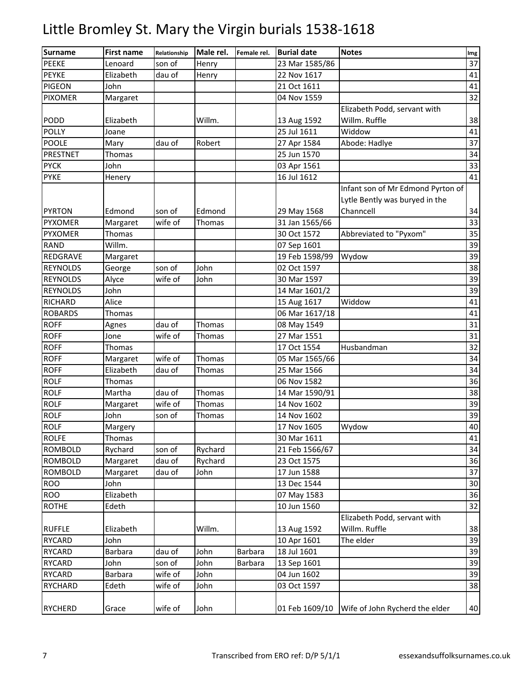| <b>Surname</b>  | <b>First name</b> | Relationship | Male rel. | Female rel. | <b>Burial date</b> | <b>Notes</b>                      | Img |
|-----------------|-------------------|--------------|-----------|-------------|--------------------|-----------------------------------|-----|
| <b>PEEKE</b>    | Lenoard           | son of       | Henry     |             | 23 Mar 1585/86     |                                   | 37  |
| <b>PEYKE</b>    | Elizabeth         | dau of       | Henry     |             | 22 Nov 1617        |                                   | 41  |
| <b>PIGEON</b>   | John              |              |           |             | 21 Oct 1611        |                                   | 41  |
| <b>PIXOMER</b>  | Margaret          |              |           |             | 04 Nov 1559        |                                   | 32  |
|                 |                   |              |           |             |                    | Elizabeth Podd, servant with      |     |
| PODD            | Elizabeth         |              | Willm.    |             | 13 Aug 1592        | Willm. Ruffle                     | 38  |
| <b>POLLY</b>    | Joane             |              |           |             | 25 Jul 1611        | Widdow                            | 41  |
| <b>POOLE</b>    | Mary              | dau of       | Robert    |             | 27 Apr 1584        | Abode: Hadlye                     | 37  |
| <b>PRESTNET</b> | Thomas            |              |           |             | 25 Jun 1570        |                                   | 34  |
| <b>PYCK</b>     | John              |              |           |             | 03 Apr 1561        |                                   | 33  |
| <b>PYKE</b>     | Henery            |              |           |             | 16 Jul 1612        |                                   | 41  |
|                 |                   |              |           |             |                    | Infant son of Mr Edmond Pyrton of |     |
|                 |                   |              |           |             |                    | Lytle Bently was buryed in the    |     |
| <b>PYRTON</b>   | Edmond            | son of       | Edmond    |             | 29 May 1568        | Channcell                         | 34  |
| <b>PYXOMER</b>  | Margaret          | wife of      | Thomas    |             | 31 Jan 1565/66     |                                   | 33  |
| <b>PYXOMER</b>  | Thomas            |              |           |             | 30 Oct 1572        | Abbreviated to "Pyxom"            | 35  |
| <b>RAND</b>     | Willm.            |              |           |             | 07 Sep 1601        |                                   | 39  |
| REDGRAVE        | Margaret          |              |           |             | 19 Feb 1598/99     | Wydow                             | 39  |
| <b>REYNOLDS</b> | George            | son of       | John      |             | 02 Oct 1597        |                                   | 38  |
| <b>REYNOLDS</b> | Alyce             | wife of      | John      |             | 30 Mar 1597        |                                   | 39  |
| <b>REYNOLDS</b> | John              |              |           |             | 14 Mar 1601/2      |                                   | 39  |
| RICHARD         | Alice             |              |           |             | 15 Aug 1617        | Widdow                            | 41  |
| <b>ROBARDS</b>  | Thomas            |              |           |             | 06 Mar 1617/18     |                                   | 41  |
| <b>ROFF</b>     | Agnes             | dau of       | Thomas    |             | 08 May 1549        |                                   | 31  |
| <b>ROFF</b>     | Jone              | wife of      | Thomas    |             | 27 Mar 1551        |                                   | 31  |
| <b>ROFF</b>     | Thomas            |              |           |             | 17 Oct 1554        | Husbandman                        | 32  |
| <b>ROFF</b>     | Margaret          | wife of      | Thomas    |             | 05 Mar 1565/66     |                                   | 34  |
| <b>ROFF</b>     | Elizabeth         | dau of       | Thomas    |             | 25 Mar 1566        |                                   | 34  |
| <b>ROLF</b>     | Thomas            |              |           |             | 06 Nov 1582        |                                   | 36  |
| <b>ROLF</b>     | Martha            | dau of       | Thomas    |             | 14 Mar 1590/91     |                                   | 38  |
| <b>ROLF</b>     | Margaret          | wife of      | Thomas    |             | 14 Nov 1602        |                                   | 39  |
| <b>ROLF</b>     | John              | son of       | Thomas    |             | 14 Nov 1602        |                                   | 39  |
| <b>ROLF</b>     | Margery           |              |           |             | 17 Nov 1605        | Wydow                             | 40  |
| <b>ROLFE</b>    | Thomas            |              |           |             | 30 Mar 1611        |                                   | 41  |
| <b>ROMBOLD</b>  | Rychard           | son of       | Rychard   |             | 21 Feb 1566/67     |                                   | 34  |
| <b>ROMBOLD</b>  | Margaret          | dau of       | Rychard   |             | 23 Oct 1575        |                                   | 36  |
| <b>ROMBOLD</b>  | Margaret          | dau of       | John      |             | 17 Jun 1588        |                                   | 37  |
| <b>ROO</b>      | John              |              |           |             | 13 Dec 1544        |                                   | 30  |
| <b>ROO</b>      | Elizabeth         |              |           |             | 07 May 1583        |                                   | 36  |
| <b>ROTHE</b>    | Edeth             |              |           |             | 10 Jun 1560        |                                   | 32  |
|                 |                   |              |           |             |                    | Elizabeth Podd, servant with      |     |
| <b>RUFFLE</b>   | Elizabeth         |              | Willm.    |             | 13 Aug 1592        | Willm. Ruffle                     | 38  |
| <b>RYCARD</b>   | John              |              |           |             | 10 Apr 1601        | The elder                         | 39  |
| <b>RYCARD</b>   | <b>Barbara</b>    | dau of       | John      | Barbara     | 18 Jul 1601        |                                   | 39  |
| <b>RYCARD</b>   | John              | son of       | John      | Barbara     | 13 Sep 1601        |                                   | 39  |
| <b>RYCARD</b>   | <b>Barbara</b>    | wife of      | John      |             | 04 Jun 1602        |                                   | 39  |
| <b>RYCHARD</b>  | Edeth             | wife of      | John      |             | 03 Oct 1597        |                                   | 38  |
|                 |                   |              |           |             |                    |                                   |     |
| <b>RYCHERD</b>  | Grace             | wife of      | John      |             | 01 Feb 1609/10     | Wife of John Rycherd the elder    | 40  |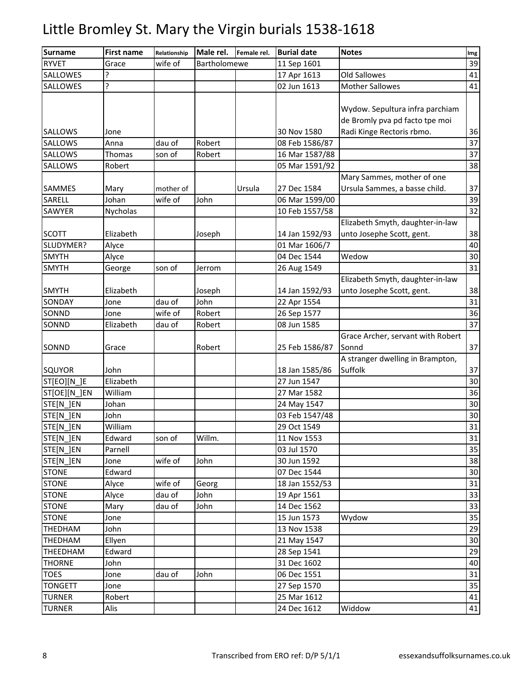| <b>Surname</b> | <b>First name</b> | Relationship | Male rel.    | Female rel. | <b>Burial date</b> | <b>Notes</b>                                                      | Img             |
|----------------|-------------------|--------------|--------------|-------------|--------------------|-------------------------------------------------------------------|-----------------|
| <b>RYVET</b>   | Grace             | wife of      | Bartholomewe |             | 11 Sep 1601        |                                                                   | 39              |
| SALLOWES       | Ç                 |              |              |             | 17 Apr 1613        | Old Sallowes                                                      | 41              |
| SALLOWES       | ŗ                 |              |              |             | 02 Jun 1613        | <b>Mother Sallowes</b>                                            | 41              |
|                |                   |              |              |             |                    | Wydow. Sepultura infra parchiam<br>de Bromly pva pd facto tpe moi |                 |
| <b>SALLOWS</b> | Jone              |              |              |             | 30 Nov 1580        | Radi Kinge Rectoris rbmo.                                         | 36              |
| SALLOWS        | Anna              | dau of       | Robert       |             | 08 Feb 1586/87     |                                                                   | 37              |
| SALLOWS        | Thomas            | son of       | Robert       |             | 16 Mar 1587/88     |                                                                   | 37              |
| SALLOWS        | Robert            |              |              |             | 05 Mar 1591/92     |                                                                   | 38              |
|                |                   |              |              |             |                    | Mary Sammes, mother of one                                        |                 |
| SAMMES         | Mary              | mother of    |              | Ursula      | 27 Dec 1584        | Ursula Sammes, a basse child.                                     | 37              |
| SARELL         | Johan             | wife of      | John         |             | 06 Mar 1599/00     |                                                                   | 39              |
| SAWYER         | Nycholas          |              |              |             | 10 Feb 1557/58     |                                                                   | $\overline{32}$ |
| <b>SCOTT</b>   | Elizabeth         |              | Joseph       |             | 14 Jan 1592/93     | Elizabeth Smyth, daughter-in-law<br>unto Josephe Scott, gent.     | 38              |
| SLUDYMER?      | Alyce             |              |              |             | 01 Mar 1606/7      |                                                                   | 40              |
| <b>SMYTH</b>   | Alyce             |              |              |             | 04 Dec 1544        | Wedow                                                             | 30              |
| <b>SMYTH</b>   | George            | son of       | Jerrom       |             | 26 Aug 1549        |                                                                   | 31              |
|                |                   |              |              |             |                    | Elizabeth Smyth, daughter-in-law                                  |                 |
| <b>SMYTH</b>   | Elizabeth         |              | Joseph       |             | 14 Jan 1592/93     | unto Josephe Scott, gent.                                         | 38              |
| SONDAY         | Jone              | dau of       | John         |             | 22 Apr 1554        |                                                                   | 31              |
| SONND          | Jone              | wife of      | Robert       |             | 26 Sep 1577        |                                                                   | 36              |
| SONND          | Elizabeth         | dau of       | Robert       |             | 08 Jun 1585        |                                                                   | $\overline{37}$ |
| SONND          | Grace             |              | Robert       |             | 25 Feb 1586/87     | Grace Archer, servant with Robert<br>Sonnd                        | 37              |
|                |                   |              |              |             |                    | A stranger dwelling in Brampton,                                  |                 |
| SQUYOR         | John              |              |              |             | 18 Jan 1585/86     | Suffolk                                                           | 37              |
| ST[EO][N_]E    | Elizabeth         |              |              |             | 27 Jun 1547        |                                                                   | 30              |
| ST[OE][N ]EN   | William           |              |              |             | 27 Mar 1582        |                                                                   | 36              |
| STE[N_]EN      | Johan             |              |              |             | 24 May 1547        |                                                                   | 30              |
| STE[N_]EN      | John              |              |              |             | 03 Feb 1547/48     |                                                                   | 30              |
| STE[N_]EN      | William           |              |              |             | 29 Oct 1549        |                                                                   | 31              |
| STE[N_]EN      | Edward            | son of       | Willm.       |             | 11 Nov 1553        |                                                                   | 31              |
| STE[N ]EN      | Parnell           |              |              |             | 03 Jul 1570        |                                                                   | 35              |
| STE[N_]EN      | Jone              | wife of      | John         |             | 30 Jun 1592        |                                                                   | 38              |
| <b>STONE</b>   | Edward            |              |              |             | 07 Dec 1544        |                                                                   | 30              |
| <b>STONE</b>   | Alyce             | wife of      | Georg        |             | 18 Jan 1552/53     |                                                                   | 31              |
| <b>STONE</b>   | Alyce             | dau of       | John         |             | 19 Apr 1561        |                                                                   | 33              |
| <b>STONE</b>   | Mary              | dau of       | John         |             | 14 Dec 1562        |                                                                   | 33              |
| <b>STONE</b>   | Jone              |              |              |             | 15 Jun 1573        | Wydow                                                             | 35              |
| THEDHAM        | John              |              |              |             | 13 Nov 1538        |                                                                   | 29              |
| THEDHAM        | Ellyen            |              |              |             | 21 May 1547        |                                                                   | 30              |
| THEEDHAM       | Edward            |              |              |             | 28 Sep 1541        |                                                                   | 29              |
| <b>THORNE</b>  | John              |              |              |             | 31 Dec 1602        |                                                                   | 40              |
| <b>TOES</b>    | Jone              | dau of       | John         |             | 06 Dec 1551        |                                                                   | 31              |
| <b>TONGETT</b> | Jone              |              |              |             | 27 Sep 1570        |                                                                   | 35              |
| <b>TURNER</b>  | Robert            |              |              |             | 25 Mar 1612        |                                                                   | 41              |
| <b>TURNER</b>  | Alis              |              |              |             | 24 Dec 1612        | Widdow                                                            | 41              |